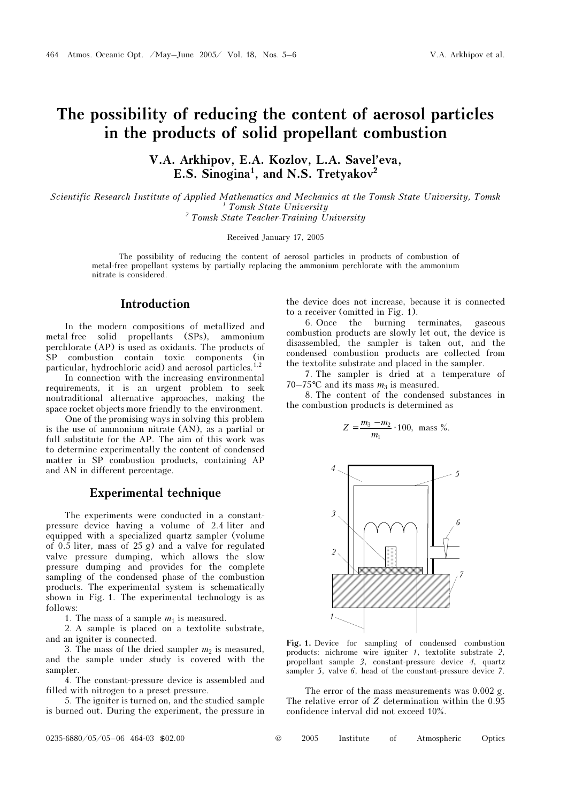# The possibility of reducing the content of aerosol particles in the products of solid propellant combustion

V.A. Arkhipov, E.A. Kozlov, L.A. Savel'eva, E.S. Sinogina<sup>1</sup>, and N.S. Tretyakov<sup>2</sup>

Scientific Research Institute of Applied Mathematics and Mechanics at the Tomsk State University, Tomsk <sup>1</sup>  $<sup>1</sup>$  Tomsk State University</sup> <sup>2</sup> Tomsk State Teacher-Training University

Received January 17, 2005

The possibility of reducing the content of aerosol particles in products of combustion of metal-free propellant systems by partially replacing the ammonium perchlorate with the ammonium nitrate is considered.

## Introduction

In the modern compositions of metallized and metal-free solid propellants (SPs), ammonium perchlorate (AP) is used as oxidants. The products of SP combustion contain toxic components (in particular, hydrochloric acid) and aerosol particles.<sup>1,2</sup>

In connection with the increasing environmental requirements, it is an urgent problem to seek nontraditional alternative approaches, making the space rocket objects more friendly to the environment.

One of the promising ways in solving this problem is the use of ammonium nitrate (AN), as a partial or full substitute for the AP. The aim of this work was to determine experimentally the content of condensed matter in SP combustion products, containing AP and AN in different percentage.

### Experimental technique

The experiments were conducted in a constantpressure device having a volume of 2.4 liter and equipped with a specialized quartz sampler (volume of 0.5 liter, mass of 25 g) and a valve for regulated valve pressure dumping, which allows the slow pressure dumping and provides for the complete sampling of the condensed phase of the combustion products. The experimental system is schematically shown in Fig. 1. The experimental technology is as follows:

1. The mass of a sample  $m_1$  is measured.

2. A sample is placed on a textolite substrate, and an igniter is connected.

3. The mass of the dried sampler  $m_2$  is measured, and the sample under study is covered with the sampler.

4. The constant-pressure device is assembled and filled with nitrogen to a preset pressure.

5. The igniter is turned on, and the studied sample is burned out. During the experiment, the pressure in the device does not increase, because it is connected to a receiver (omitted in Fig. 1).

6. Once the burning terminates, gaseous combustion products are slowly let out, the device is disassembled, the sampler is taken out, and the condensed combustion products are collected from the textolite substrate and placed in the sampler.

7. The sampler is dried at a temperature of 70–75°C and its mass  $m_3$  is measured.

8. The content of the condensed substances in the combustion products is determined as

$$
Z = \frac{m_3 - m_2}{m_1} \cdot 100, \text{ mass } \%
$$



Fig. 1. Device for sampling of condensed combustion products: nichrome wire igniter 1, textolite substrate 2, propellant sample 3, constant-pressure device 4, quartz sampler 5, valve 6, head of the constant-pressure device 7.

The error of the mass measurements was 0.002 g. The relative error of Z determination within the 0.95 confidence interval did not exceed 10%.

| $^\circledc$ | 2005 | Institute |  | Atmospheric | Optics |
|--------------|------|-----------|--|-------------|--------|
|--------------|------|-----------|--|-------------|--------|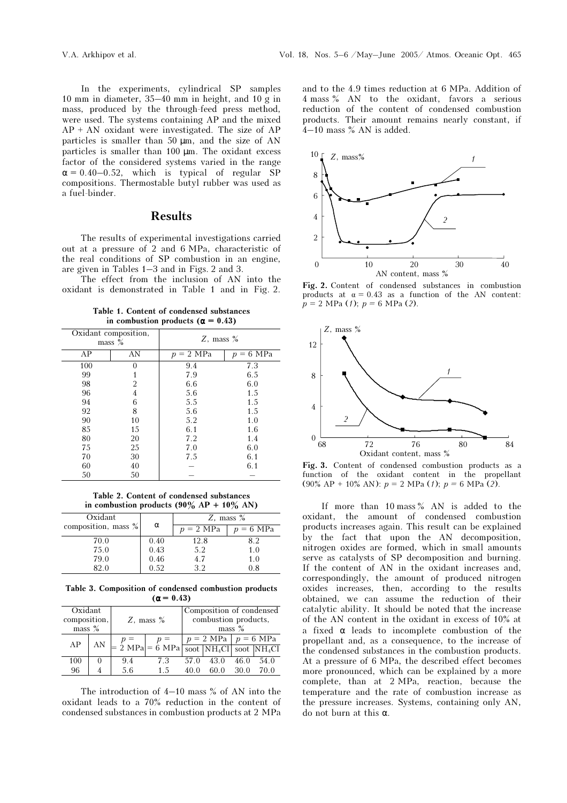In the experiments, cylindrical SP samples 10 mm in diameter, 35–40 mm in height, and 10 g in mass, produced by the through-feed press method, were used. The systems containing AP and the mixed  $AP + AN$  oxidant were investigated. The size of  $AP$ particles is smaller than 50 µm, and the size of AN particles is smaller than 100 µm. The oxidant excess factor of the considered systems varied in the range  $\alpha = 0.40 - 0.52$ , which is typical of regular SP compositions. Thermostable butyl rubber was used as a fuel-binder.

### Results

The results of experimental investigations carried out at a pressure of 2 and 6 MPa, characteristic of the real conditions of SP combustion in an engine, are given in Tables 1–3 and in Figs. 2 and 3.

The effect from the inclusion of AN into the oxidant is demonstrated in Table 1 and in Fig. 2.

Table 1. Content of condensed substances in combustion products ( $\alpha = 0.43$ )

|     | Oxidant composition,<br>$mass \%$ | Z, mass $%$            |            |  |
|-----|-----------------------------------|------------------------|------------|--|
| AP  | AN                                | $= 2 \text{ MPa}$<br>р | 6 MPa<br>n |  |
| 100 | 0                                 | 9.4                    | 7.3        |  |
| 99  |                                   | 7.9                    | 6.5        |  |
| 98  | 2                                 | 6.6                    | 6.0        |  |
| 96  | 4                                 | 5.6                    | 1.5        |  |
| 94  | 6                                 | 5.5                    | 1.5        |  |
| 92  | 8                                 | 5.6                    | 1.5        |  |
| 90  | 10                                | 5.2                    | 1.0        |  |
| 85  | 15                                | 6.1                    | 1.6        |  |
| 80  | 20                                | 7.2                    | 1.4        |  |
| 75  | 25                                | 7.0                    | 6.0        |  |
| 70  | 30                                | 7.5                    | 6.1        |  |
| 60  | 40                                |                        | 6.1        |  |
| 50  | 50                                |                        |            |  |

Table 2. Content of condensed substances in combustion products  $(90\% \text{ AP} + 10\% \text{ AN})$ 

| Oxidant             | α    | Z, mass $%$         |                     |  |
|---------------------|------|---------------------|---------------------|--|
| composition, mass % |      | $p = 2 \text{ MPa}$ | $p = 6 \text{ MPa}$ |  |
| 70.0                | 0.40 | 12.8                | 82                  |  |
| 75.0                | 0.43 | 5.2                 | 1.0                 |  |
| 79.0                | 0.46 | 4.7                 | 1.0                 |  |
| 82.0                | 0.52 | 3 J                 | $_{\rm 0.8}$        |  |

Table 3. Composition of condensed combustion products  $(\alpha = 0.43)$ 

| Oxidant<br>composition,<br>$mass \%$ |    | Z, mass $%$ |                                   | Composition of condensed<br>combustion products,<br>$mass \%$ |                                                                        |              |              |
|--------------------------------------|----|-------------|-----------------------------------|---------------------------------------------------------------|------------------------------------------------------------------------|--------------|--------------|
| AΡ                                   | AN |             | $= 2 \text{ MPa} = 6 \text{ MPa}$ |                                                               | $p = 2 \text{ MPa}$ $p = 6 \text{ MPa}$<br>soot $NH_4Cl$ soot $NH_4Cl$ |              |              |
| 100<br>96                            |    | 9.4<br>5.6  | 7.3<br>1.5                        | 57.0<br>40 O                                                  | 43.0                                                                   | 46.0<br>30.0 | 54.0<br>70 Q |

The introduction of 4–10 mass % of AN into the oxidant leads to a 70% reduction in the content of condensed substances in combustion products at 2 MPa and to the 4.9 times reduction at 6 MPa. Addition of 4 mass % AN to the oxidant, favors a serious reduction of the content of condensed combustion products. Their amount remains nearly constant, if 4–10 mass % AN is added.



Fig. 2. Content of condensed substances in combustion products at  $\alpha = 0.43$  as a function of the AN content:  $p = 2 \text{ MPa (1); } p = 6 \text{ MPa (2)}.$ 



Fig. 3. Content of condensed combustion products as a function of the oxidant content in the propellant (90% AP + 10% AN):  $p = 2 \text{ MPa (1); } p = 6 \text{ MPa (2)}.$ 

If more than 10 mass % AN is added to the oxidant, the amount of condensed combustion products increases again. This result can be explained by the fact that upon the AN decomposition, nitrogen oxides are formed, which in small amounts serve as catalysts of SP decomposition and burning. If the content of AN in the oxidant increases and, correspondingly, the amount of produced nitrogen oxides increases, then, according to the results obtained, we can assume the reduction of their catalytic ability. It should be noted that the increase of the AN content in the oxidant in excess of 10% at a fixed α leads to incomplete combustion of the propellant and, as a consequence, to the increase of the condensed substances in the combustion products. At a pressure of 6 MPa, the described effect becomes more pronounced, which can be explained by a more complete, than at 2 MPa, reaction, because the temperature and the rate of combustion increase as the pressure increases. Systems, containing only AN, do not burn at this α.